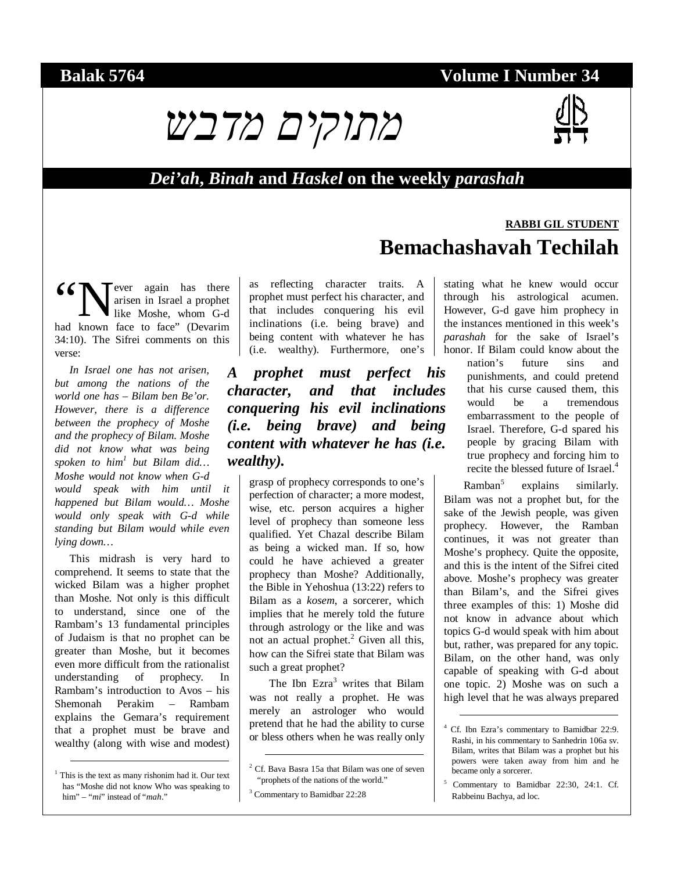## **Balak 5764 Volume I Number 34**





**RABBI GIL STUDENT**

## *Dei'ah***,** *Binah* **and** *Haskel* **on the weekly** *parashah*

#### **T**ever again has there arisen in Israel a prophet like Moshe, whom G-d 66 Wever again has there arisen in Israel a prophet like Moshe, whom G-d had known face to face" (Devarim 34:10). The Sifrei comments on this verse:

*In Israel one has not arisen, but among the nations of the world one has – Bilam ben Be'or. However, there is a difference between the prophecy of Moshe and the prophecy of Bilam. Moshe did not know what was being spoken to him1 but Bilam did… Moshe would not know when G-d would speak with him until it happened but Bilam would… Moshe would only speak with G-d while standing but Bilam would while even lying down…* 

This midrash is very hard to comprehend. It seems to state that the wicked Bilam was a higher prophet than Moshe. Not only is this difficult to understand, since one of the Rambam's 13 fundamental principles of Judaism is that no prophet can be greater than Moshe, but it becomes even more difficult from the rationalist understanding of prophecy. In Rambam's introduction to Avos – his Shemonah Perakim – Rambam explains the Gemara's requirement that a prophet must be brave and wealthy (along with wise and modest)

as reflecting character traits. A prophet must perfect his character, and that includes conquering his evil inclinations (i.e. being brave) and being content with whatever he has (i.e. wealthy). Furthermore, one's

*A prophet must perfect his character, and that includes conquering his evil inclinations (i.e. being brave) and being content with whatever he has (i.e. wealthy).* 

grasp of prophecy corresponds to one's perfection of character; a more modest, wise, etc. person acquires a higher level of prophecy than someone less qualified. Yet Chazal describe Bilam as being a wicked man. If so, how could he have achieved a greater prophecy than Moshe? Additionally, the Bible in Yehoshua (13:22) refers to Bilam as a *kosem*, a sorcerer, which implies that he merely told the future through astrology or the like and was not an actual prophet.<sup>2</sup> Given all this, how can the Sifrei state that Bilam was such a great prophet?

The Ibn Ezra<sup>3</sup> writes that Bilam was not really a prophet. He was merely an astrologer who would pretend that he had the ability to curse or bless others when he was really only

# **Bemachashavah Techilah**

stating what he knew would occur through his astrological acumen. However, G-d gave him prophecy in the instances mentioned in this week's *parashah* for the sake of Israel's honor. If Bilam could know about the

> nation's future sins and punishments, and could pretend that his curse caused them, this would be a tremendous embarrassment to the people of Israel. Therefore, G-d spared his people by gracing Bilam with true prophecy and forcing him to recite the blessed future of Israel.<sup>4</sup>

Ramban<sup>5</sup> explains similarly. Bilam was not a prophet but, for the sake of the Jewish people, was given prophecy. However, the Ramban continues, it was not greater than Moshe's prophecy. Quite the opposite, and this is the intent of the Sifrei cited above. Moshe's prophecy was greater than Bilam's, and the Sifrei gives three examples of this: 1) Moshe did not know in advance about which topics G-d would speak with him about but, rather, was prepared for any topic. Bilam, on the other hand, was only capable of speaking with G-d about one topic. 2) Moshe was on such a high level that he was always prepared

<sup>&</sup>lt;sup>1</sup> This is the text as many rishonim had it. Our text has "Moshe did not know Who was speaking to him" – "*mi*" instead of "*mah*."

 <sup>2</sup> Cf. Bava Basra 15a that Bilam was one of seven "prophets of the nations of the world."

<sup>3</sup> Commentary to Bamidbar 22:28

 <sup>4</sup> Cf. Ibn Ezra's commentary to Bamidbar 22:9. Rashi, in his commentary to Sanhedrin 106a sv. Bilam, writes that Bilam was a prophet but his powers were taken away from him and he became only a sorcerer.

<sup>5</sup> Commentary to Bamidbar 22:30, 24:1. Cf. Rabbeinu Bachya, ad loc.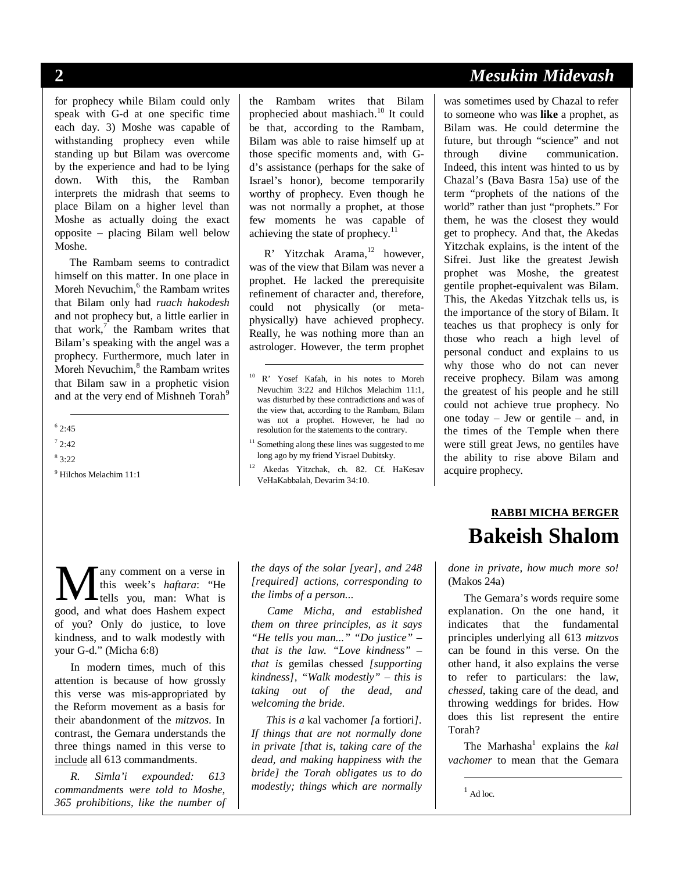for prophecy while Bilam could only speak with G-d at one specific time each day. 3) Moshe was capable of withstanding prophecy even while standing up but Bilam was overcome by the experience and had to be lying down. With this, the Ramban interprets the midrash that seems to place Bilam on a higher level than Moshe as actually doing the exact opposite – placing Bilam well below Moshe.

The Rambam seems to contradict himself on this matter. In one place in Moreh Nevuchim,<sup>6</sup> the Rambam writes that Bilam only had *ruach hakodesh* and not prophecy but, a little earlier in that work, $\frac{7}{1}$  the Rambam writes that Bilam's speaking with the angel was a prophecy. Furthermore, much later in Moreh Nevuchim,<sup>8</sup> the Rambam writes that Bilam saw in a prophetic vision and at the very end of Mishneh Torah<sup>9</sup>

 $-$ <sup>6</sup> 2:45

 $72:42$ 

 $83:22$ 

9 Hilchos Melachim 11:1

the Rambam writes that Bilam prophecied about mashiach.<sup>10</sup> It could be that, according to the Rambam, Bilam was able to raise himself up at those specific moments and, with Gd's assistance (perhaps for the sake of Israel's honor), become temporarily worthy of prophecy. Even though he was not normally a prophet, at those few moments he was capable of achieving the state of prophecy. $11$ 

R' Yitzchak Arama.<sup>12</sup> however, was of the view that Bilam was never a prophet. He lacked the prerequisite refinement of character and, therefore, could not physically (or metaphysically) have achieved prophecy. Really, he was nothing more than an astrologer. However, the term prophet

<sup>11</sup> Something along these lines was suggested to me long ago by my friend Yisrael Dubitsky.

12 Akedas Yitzchak, ch. 82. Cf. HaKesav VeHaKabbalah, Devarim 34:10.

any comment on a verse in this week's *haftara*: "He tells you, man: What is **M** any comment on a verse in<br>this week's *haftara*: "He<br>good, and what does Hashem expect of you? Only do justice, to love kindness, and to walk modestly with your G-d." (Micha 6:8)

In modern times, much of this attention is because of how grossly this verse was mis-appropriated by the Reform movement as a basis for their abandonment of the *mitzvos*. In contrast, the Gemara understands the three things named in this verse to include all 613 commandments.

*R. Simla'i expounded: 613 commandments were told to Moshe, 365 prohibitions, like the number of*  *the days of the solar [year], and 248 [required] actions, corresponding to the limbs of a person...* 

*Came Micha, and established them on three principles, as it says "He tells you man..." "Do justice" – that is the law. "Love kindness" – that is* gemilas chessed *[supporting kindness], "Walk modestly" – this is taking out of the dead, and welcoming the bride.* 

*This is a* kal vachomer *[*a fortiori*]. If things that are not normally done in private [that is, taking care of the dead, and making happiness with the bride] the Torah obligates us to do modestly; things which are normally* 

# **2** *Mesukim Midevash*

was sometimes used by Chazal to refer to someone who was **like** a prophet, as Bilam was. He could determine the future, but through "science" and not through divine communication. Indeed, this intent was hinted to us by Chazal's (Bava Basra 15a) use of the term "prophets of the nations of the world" rather than just "prophets." For them, he was the closest they would get to prophecy. And that, the Akedas Yitzchak explains, is the intent of the Sifrei. Just like the greatest Jewish prophet was Moshe, the greatest gentile prophet-equivalent was Bilam. This, the Akedas Yitzchak tells us, is the importance of the story of Bilam. It teaches us that prophecy is only for those who reach a high level of personal conduct and explains to us why those who do not can never receive prophecy. Bilam was among the greatest of his people and he still could not achieve true prophecy. No one today – Jew or gentile – and, in the times of the Temple when there were still great Jews, no gentiles have the ability to rise above Bilam and acquire prophecy.

# **RABBI MICHA BERGER Bakeish Shalom**

*done in private, how much more so!*  (Makos 24a)

The Gemara's words require some explanation. On the one hand, it indicates that the fundamental principles underlying all 613 *mitzvos*  can be found in this verse. On the other hand, it also explains the verse to refer to particulars: the law, *chessed*, taking care of the dead, and throwing weddings for brides. How does this list represent the entire Torah?

The Marhasha<sup>1</sup> explains the *kal vachomer* to mean that the Gemara

 $<sup>1</sup>$  Ad loc.</sup>

-

 <sup>10</sup> R' Yosef Kafah, in his notes to Moreh Nevuchim 3:22 and Hilchos Melachim 11:1, was disturbed by these contradictions and was of the view that, according to the Rambam, Bilam was not a prophet. However, he had no resolution for the statements to the contrary.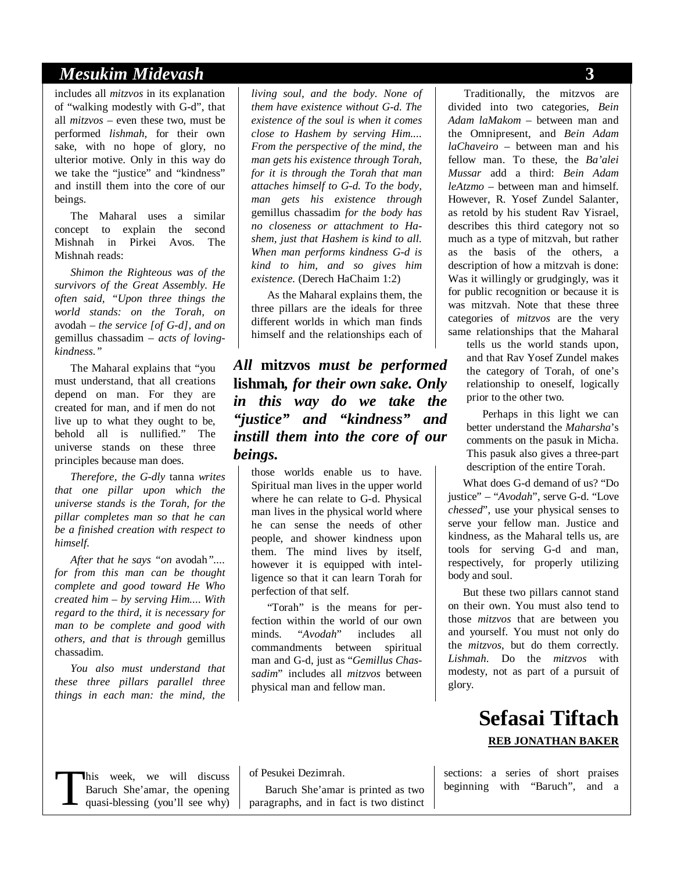## *Mesukim Midevash* **3**

includes all *mitzvos* in its explanation of "walking modestly with G-d", that all *mitzvos* – even these two, must be performed *lishmah*, for their own sake, with no hope of glory, no ulterior motive. Only in this way do we take the "justice" and "kindness" and instill them into the core of our beings.

The Maharal uses a similar concept to explain the second Mishnah in Pirkei Avos. The Mishnah reads:

*Shimon the Righteous was of the survivors of the Great Assembly. He often said, "Upon three things the world stands: on the Torah, on*  avodah *– the service [of G-d], and on*  gemillus chassadim *– acts of lovingkindness."* 

The Maharal explains that "you must understand, that all creations depend on man. For they are created for man, and if men do not live up to what they ought to be, behold all is nullified." The universe stands on these three principles because man does.

*Therefore, the G-dly* tanna *writes that one pillar upon which the universe stands is the Torah, for the pillar completes man so that he can be a finished creation with respect to himself.* 

*After that he says "on* avodah*".... for from this man can be thought complete and good toward He Who created him – by serving Him.... With regard to the third, it is necessary for man to be complete and good with others, and that is through* gemillus chassadim*.* 

*You also must understand that these three pillars parallel three things in each man: the mind, the* 

*living soul, and the body. None of them have existence without G-d. The existence of the soul is when it comes close to Hashem by serving Him.... From the perspective of the mind, the man gets his existence through Torah, for it is through the Torah that man attaches himself to G-d. To the body, man gets his existence through*  gemillus chassadim *for the body has no closeness or attachment to Hashem, just that Hashem is kind to all. When man performs kindness G-d is kind to him, and so gives him existence.* (Derech HaChaim 1:2)

As the Maharal explains them, the three pillars are the ideals for three different worlds in which man finds himself and the relationships each of

*All* **mitzvos** *must be performed*  **lishmah***, for their own sake. Only in this way do we take the "justice" and "kindness" and instill them into the core of our beings.*

those worlds enable us to have. Spiritual man lives in the upper world where he can relate to G-d. Physical man lives in the physical world where he can sense the needs of other people, and shower kindness upon them. The mind lives by itself, however it is equipped with intelligence so that it can learn Torah for perfection of that self.

"Torah" is the means for perfection within the world of our own minds. "*Avodah*" includes all commandments between spiritual man and G-d, just as "*Gemillus Chassadim*" includes all *mitzvos* between physical man and fellow man.

Traditionally, the mitzvos are divided into two categories, *Bein Adam laMakom* – between man and the Omnipresent, and *Bein Adam laChaveiro* – between man and his fellow man. To these, the *Ba'alei Mussar* add a third: *Bein Adam leAtzmo* – between man and himself. However, R. Yosef Zundel Salanter, as retold by his student Rav Yisrael, describes this third category not so much as a type of mitzvah, but rather as the basis of the others, a description of how a mitzvah is done: Was it willingly or grudgingly, was it for public recognition or because it is was mitzvah. Note that these three categories of *mitzvos* are the very same relationships that the Maharal

tells us the world stands upon, and that Rav Yosef Zundel makes the category of Torah, of one's relationship to oneself, logically prior to the other two.

Perhaps in this light we can better understand the *Maharsha*'s comments on the pasuk in Micha. This pasuk also gives a three-part description of the entire Torah.

What does G-d demand of us? "Do justice" – "*Avodah*", serve G-d. "Love *chessed*", use your physical senses to serve your fellow man. Justice and kindness, as the Maharal tells us, are tools for serving G-d and man, respectively, for properly utilizing body and soul.

But these two pillars cannot stand on their own. You must also tend to those *mitzvos* that are between you and yourself. You must not only do the *mitzvos*, but do them correctly. *Lishmah*. Do the *mitzvos* with modesty, not as part of a pursuit of glory.

## **Sefasai Tiftach REB JONATHAN BAKER**

his week, we will discuss Baruch She'amar, the opening quasi-blessing (you'll see why) This week, we will discuss a series of short praises Baruch She'amar, the opening Baruch She'amar is printed as two beginning with "Baruch", and a quasi-blessing (you'll see why) paragraphs, and in fact is two distinct

of Pesukei Dezimrah.

Baruch She'amar is printed as two paragraphs, and in fact is two distinct